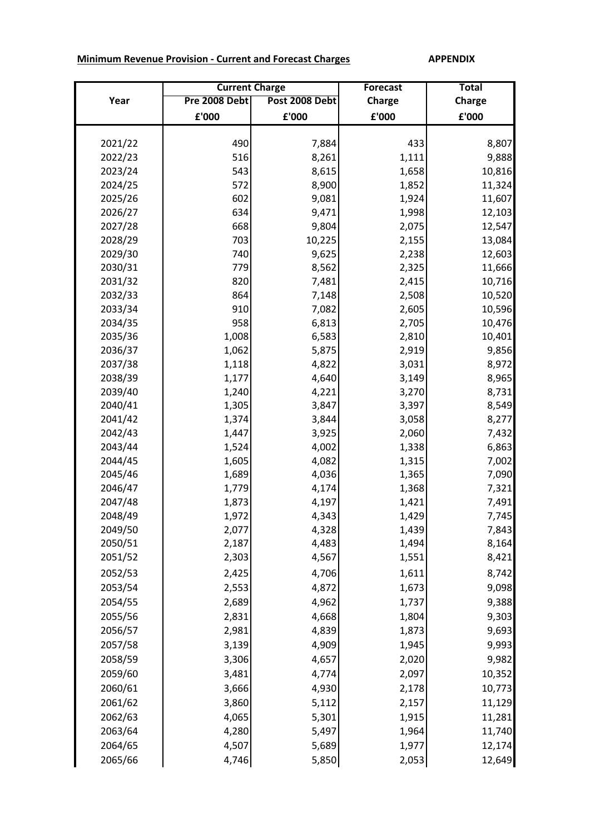## **Minimum Revenue Provision - Current and Forecast Charges APPENDIX**

|         | <b>Current Charge</b> |                | <b>Forecast</b> | <b>Total</b>  |
|---------|-----------------------|----------------|-----------------|---------------|
| Year    | Pre 2008 Debt         | Post 2008 Debt | <b>Charge</b>   | <b>Charge</b> |
|         | £'000                 | £'000          | £'000           | £'000         |
|         |                       |                |                 |               |
| 2021/22 | 490                   | 7,884          | 433             | 8,807         |
| 2022/23 | 516                   | 8,261          | 1,111           | 9,888         |
| 2023/24 | 543                   | 8,615          | 1,658           | 10,816        |
| 2024/25 | 572                   | 8,900          | 1,852           | 11,324        |
| 2025/26 | 602                   | 9,081          | 1,924           | 11,607        |
| 2026/27 | 634                   | 9,471          | 1,998           | 12,103        |
| 2027/28 | 668                   | 9,804          | 2,075           | 12,547        |
| 2028/29 | 703                   | 10,225         | 2,155           | 13,084        |
| 2029/30 | 740                   | 9,625          | 2,238           | 12,603        |
| 2030/31 | 779                   | 8,562          | 2,325           | 11,666        |
| 2031/32 | 820                   | 7,481          | 2,415           | 10,716        |
| 2032/33 | 864                   | 7,148          | 2,508           | 10,520        |
| 2033/34 | 910                   | 7,082          | 2,605           | 10,596        |
| 2034/35 | 958                   | 6,813          | 2,705           | 10,476        |
| 2035/36 | 1,008                 | 6,583          | 2,810           | 10,401        |
| 2036/37 | 1,062                 | 5,875          | 2,919           | 9,856         |
| 2037/38 | 1,118                 | 4,822          | 3,031           | 8,972         |
| 2038/39 | 1,177                 | 4,640          | 3,149           | 8,965         |
| 2039/40 | 1,240                 | 4,221          | 3,270           | 8,731         |
| 2040/41 | 1,305                 | 3,847          | 3,397           | 8,549         |
| 2041/42 | 1,374                 | 3,844          | 3,058           | 8,277         |
| 2042/43 | 1,447                 | 3,925          | 2,060           | 7,432         |
| 2043/44 | 1,524                 | 4,002          | 1,338           | 6,863         |
| 2044/45 | 1,605                 | 4,082          | 1,315           | 7,002         |
| 2045/46 | 1,689                 | 4,036          | 1,365           | 7,090         |
| 2046/47 | 1,779                 | 4,174          | 1,368           | 7,321         |
| 2047/48 | 1,873                 | 4,197          | 1,421           | 7,491         |
| 2048/49 | 1,972                 | 4,343          | 1,429           | 7,745         |
| 2049/50 | 2,077                 | 4,328          | 1,439           | 7,843         |
| 2050/51 | 2,187                 | 4,483          | 1,494           | 8,164         |
| 2051/52 | 2,303                 | 4,567          | 1,551           | 8,421         |
| 2052/53 | 2,425                 | 4,706          | 1,611           | 8,742         |
| 2053/54 | 2,553                 | 4,872          | 1,673           | 9,098         |
| 2054/55 | 2,689                 | 4,962          | 1,737           | 9,388         |
| 2055/56 | 2,831                 | 4,668          | 1,804           | 9,303         |
| 2056/57 | 2,981                 | 4,839          | 1,873           | 9,693         |
| 2057/58 | 3,139                 | 4,909          | 1,945           | 9,993         |
| 2058/59 | 3,306                 | 4,657          | 2,020           | 9,982         |
| 2059/60 | 3,481                 | 4,774          | 2,097           | 10,352        |
| 2060/61 | 3,666                 | 4,930          | 2,178           | 10,773        |
| 2061/62 | 3,860                 | 5,112          | 2,157           | 11,129        |
| 2062/63 | 4,065                 | 5,301          | 1,915           | 11,281        |
| 2063/64 | 4,280                 | 5,497          | 1,964           | 11,740        |
| 2064/65 | 4,507                 | 5,689          | 1,977           | 12,174        |
|         |                       |                |                 |               |
| 2065/66 | 4,746                 | 5,850          | 2,053           | 12,649        |